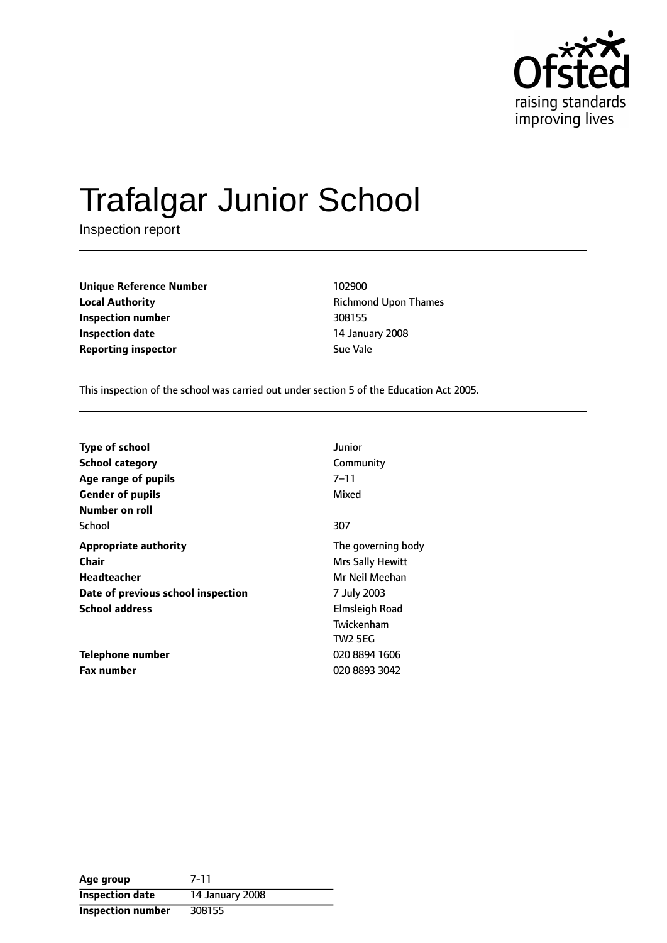

# Trafalgar Junior School

Inspection report

**Unique Reference Number** 102900 **Local Authority Richmond Upon Thames Inspection number** 308155 **Inspection date** 14 January 2008 **Reporting inspector Sue Vale** 

This inspection of the school was carried out under section 5 of the Education Act 2005.

| <b>Type of school</b>              | Junior             |
|------------------------------------|--------------------|
| <b>School category</b>             | Community          |
| Age range of pupils                | $7 - 11$           |
| <b>Gender of pupils</b>            | Mixed              |
| Number on roll                     |                    |
| School                             | 307                |
| <b>Appropriate authority</b>       | The governing body |
| Chair                              | Mrs Sally Hewitt   |
| Headteacher                        | Mr Neil Meehan     |
| Date of previous school inspection | 7 July 2003        |
| <b>School address</b>              | Elmsleigh Road     |
|                                    | Twickenham         |
|                                    | <b>TW2 5EG</b>     |
| Telephone number                   | 020 8894 1606      |
| <b>Fax number</b>                  | 020 8893 3042      |

| Age group                | 7-11            |
|--------------------------|-----------------|
| <b>Inspection date</b>   | 14 January 2008 |
| <b>Inspection number</b> | 308155          |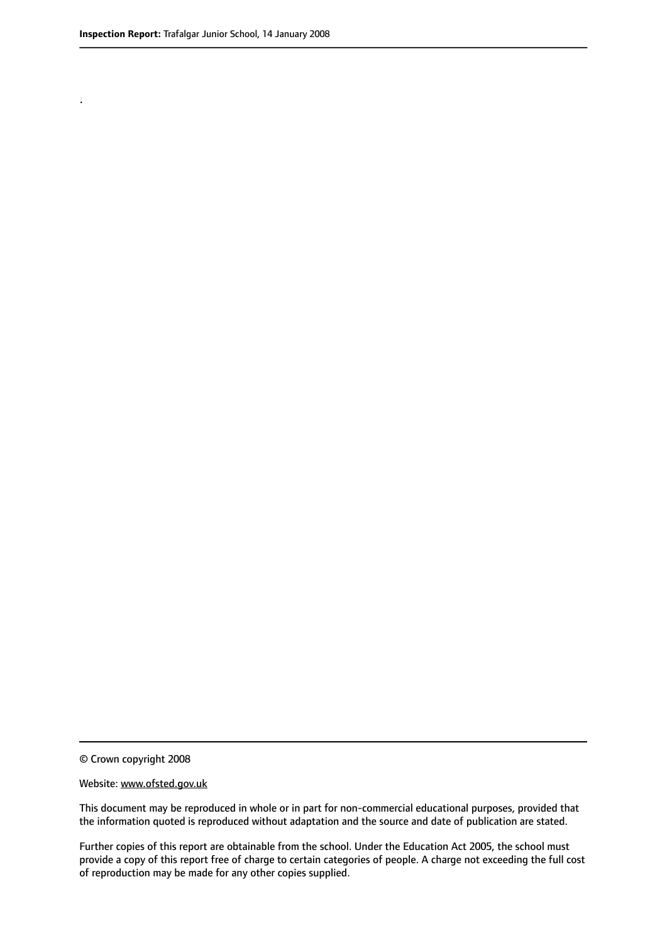.

© Crown copyright 2008

#### Website: www.ofsted.gov.uk

This document may be reproduced in whole or in part for non-commercial educational purposes, provided that the information quoted is reproduced without adaptation and the source and date of publication are stated.

Further copies of this report are obtainable from the school. Under the Education Act 2005, the school must provide a copy of this report free of charge to certain categories of people. A charge not exceeding the full cost of reproduction may be made for any other copies supplied.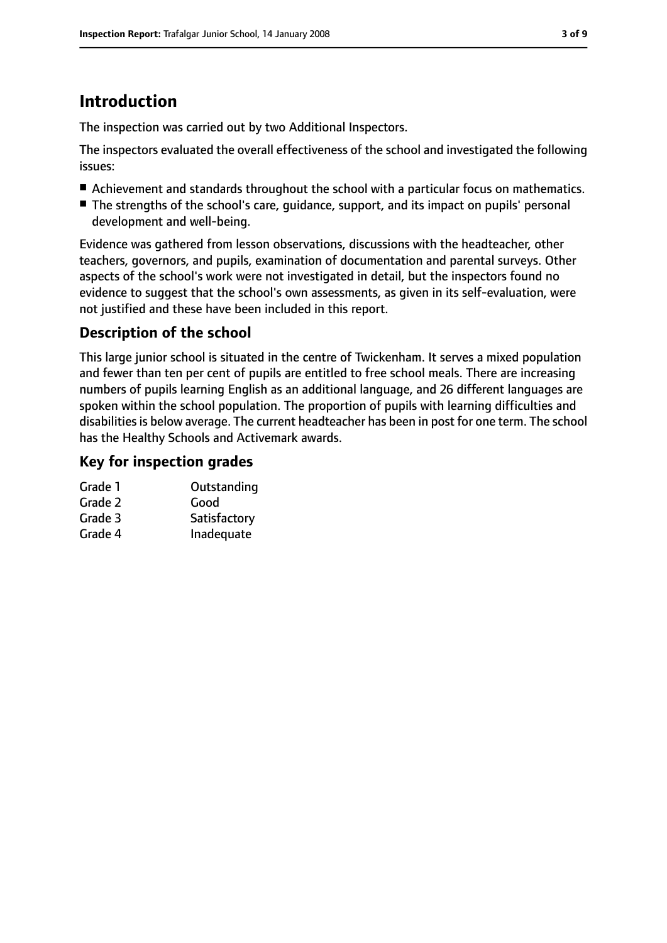# **Introduction**

The inspection was carried out by two Additional Inspectors.

The inspectors evaluated the overall effectiveness of the school and investigated the following issues:

- Achievement and standards throughout the school with a particular focus on mathematics.
- The strengths of the school's care, guidance, support, and its impact on pupils' personal development and well-being.

Evidence was gathered from lesson observations, discussions with the headteacher, other teachers, governors, and pupils, examination of documentation and parental surveys. Other aspects of the school's work were not investigated in detail, but the inspectors found no evidence to suggest that the school's own assessments, as given in its self-evaluation, were not justified and these have been included in this report.

# **Description of the school**

This large junior school is situated in the centre of Twickenham. It serves a mixed population and fewer than ten per cent of pupils are entitled to free school meals. There are increasing numbers of pupils learning English as an additional language, and 26 different languages are spoken within the school population. The proportion of pupils with learning difficulties and disabilities is below average. The current headteacher has been in post for one term. The school has the Healthy Schools and Activemark awards.

## **Key for inspection grades**

| Grade 1 | Outstanding  |
|---------|--------------|
| Grade 2 | Good         |
| Grade 3 | Satisfactory |
| Grade 4 | Inadequate   |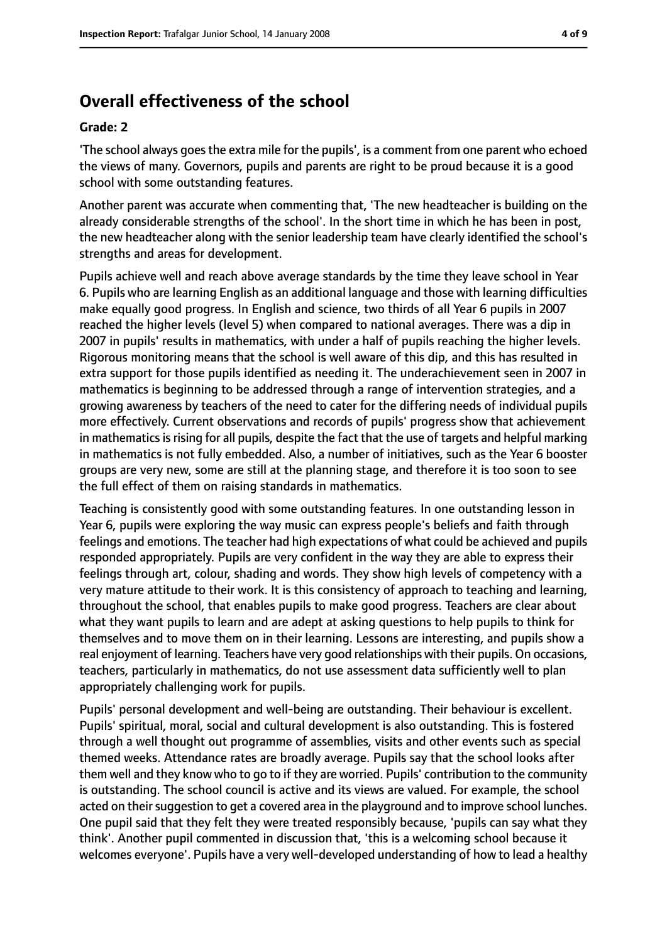# **Overall effectiveness of the school**

#### **Grade: 2**

'The school always goesthe extra mile for the pupils', is a comment from one parent who echoed the views of many. Governors, pupils and parents are right to be proud because it is a good school with some outstanding features.

Another parent was accurate when commenting that, 'The new headteacher is building on the already considerable strengths of the school'. In the short time in which he has been in post, the new headteacher along with the senior leadership team have clearly identified the school's strengths and areas for development.

Pupils achieve well and reach above average standards by the time they leave school in Year 6. Pupils who are learning English as an additional language and those with learning difficulties make equally good progress. In English and science, two thirds of all Year 6 pupils in 2007 reached the higher levels (level 5) when compared to national averages. There was a dip in 2007 in pupils' results in mathematics, with under a half of pupils reaching the higher levels. Rigorous monitoring means that the school is well aware of this dip, and this has resulted in extra support for those pupils identified as needing it. The underachievement seen in 2007 in mathematics is beginning to be addressed through a range of intervention strategies, and a growing awareness by teachers of the need to cater for the differing needs of individual pupils more effectively. Current observations and records of pupils' progress show that achievement in mathematics is rising for all pupils, despite the fact that the use of targets and helpful marking in mathematics is not fully embedded. Also, a number of initiatives, such as the Year 6 booster groups are very new, some are still at the planning stage, and therefore it is too soon to see the full effect of them on raising standards in mathematics.

Teaching is consistently good with some outstanding features. In one outstanding lesson in Year 6, pupils were exploring the way music can express people's beliefs and faith through feelings and emotions. The teacher had high expectations of what could be achieved and pupils responded appropriately. Pupils are very confident in the way they are able to express their feelings through art, colour, shading and words. They show high levels of competency with a very mature attitude to their work. It is this consistency of approach to teaching and learning, throughout the school, that enables pupils to make good progress. Teachers are clear about what they want pupils to learn and are adept at asking questions to help pupils to think for themselves and to move them on in their learning. Lessons are interesting, and pupils show a real enjoyment of learning. Teachers have very good relationships with their pupils. On occasions, teachers, particularly in mathematics, do not use assessment data sufficiently well to plan appropriately challenging work for pupils.

Pupils' personal development and well-being are outstanding. Their behaviour is excellent. Pupils' spiritual, moral, social and cultural development is also outstanding. This is fostered through a well thought out programme of assemblies, visits and other events such as special themed weeks. Attendance rates are broadly average. Pupils say that the school looks after them well and they know who to go to if they are worried. Pupils' contribution to the community is outstanding. The school council is active and its views are valued. For example, the school acted on their suggestion to get a covered area in the playground and to improve school lunches. One pupil said that they felt they were treated responsibly because, 'pupils can say what they think'. Another pupil commented in discussion that, 'this is a welcoming school because it welcomes everyone'. Pupils have a very well-developed understanding of how to lead a healthy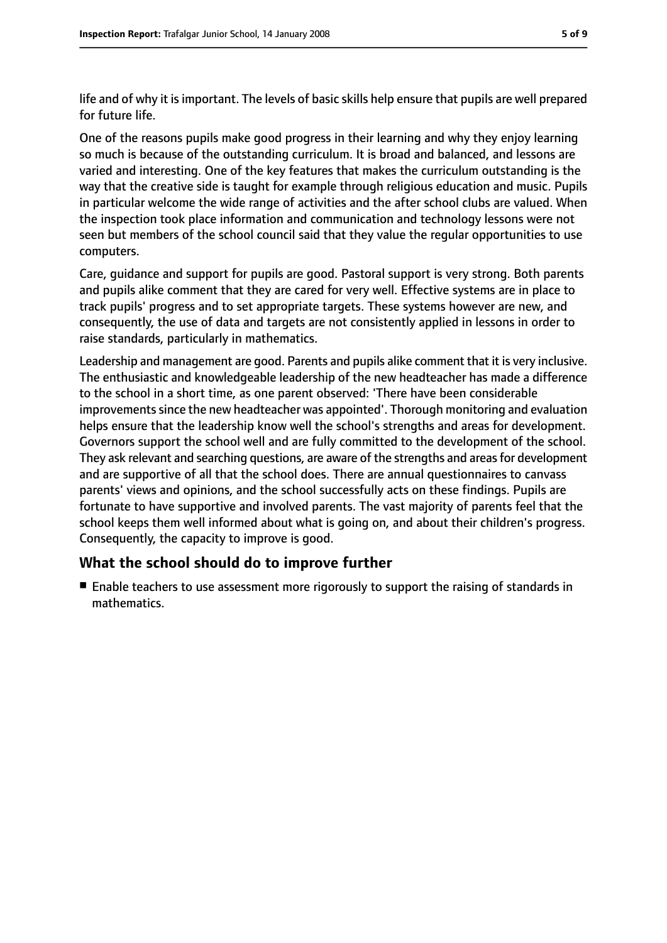life and of why it isimportant. The levels of basic skills help ensure that pupils are well prepared for future life.

One of the reasons pupils make good progress in their learning and why they enjoy learning so much is because of the outstanding curriculum. It is broad and balanced, and lessons are varied and interesting. One of the key features that makes the curriculum outstanding is the way that the creative side is taught for example through religious education and music. Pupils in particular welcome the wide range of activities and the after school clubs are valued. When the inspection took place information and communication and technology lessons were not seen but members of the school council said that they value the regular opportunities to use computers.

Care, guidance and support for pupils are good. Pastoral support is very strong. Both parents and pupils alike comment that they are cared for very well. Effective systems are in place to track pupils' progress and to set appropriate targets. These systems however are new, and consequently, the use of data and targets are not consistently applied in lessons in order to raise standards, particularly in mathematics.

Leadership and management are good. Parents and pupils alike comment that it is very inclusive. The enthusiastic and knowledgeable leadership of the new headteacher has made a difference to the school in a short time, as one parent observed: 'There have been considerable improvements since the new headteacher was appointed'. Thorough monitoring and evaluation helps ensure that the leadership know well the school's strengths and areas for development. Governors support the school well and are fully committed to the development of the school. They ask relevant and searching questions, are aware of the strengths and areas for development and are supportive of all that the school does. There are annual questionnaires to canvass parents' views and opinions, and the school successfully acts on these findings. Pupils are fortunate to have supportive and involved parents. The vast majority of parents feel that the school keeps them well informed about what is going on, and about their children's progress. Consequently, the capacity to improve is good.

### **What the school should do to improve further**

■ Enable teachers to use assessment more rigorously to support the raising of standards in mathematics.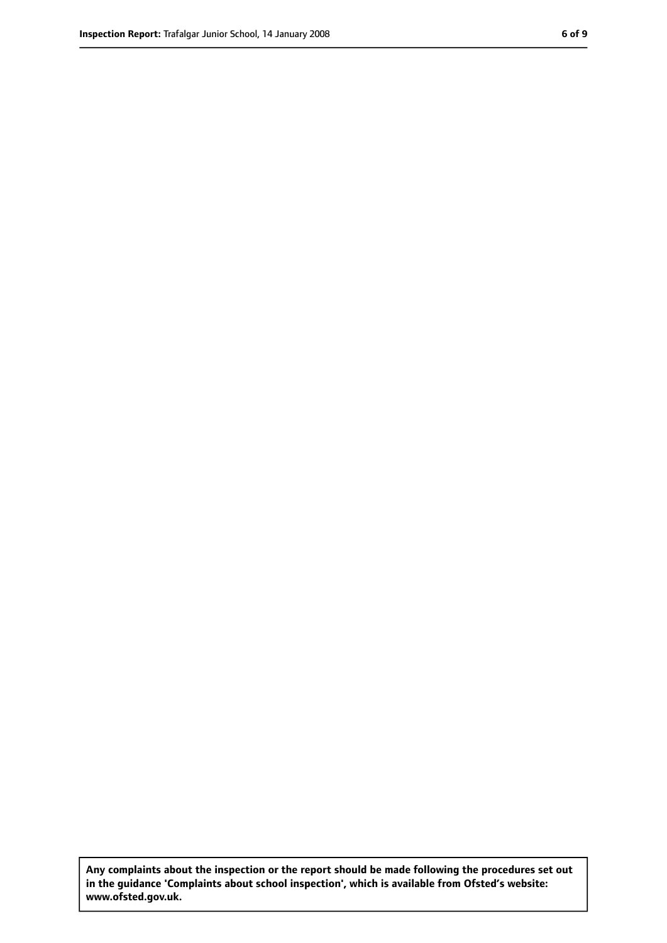**Any complaints about the inspection or the report should be made following the procedures set out in the guidance 'Complaints about school inspection', which is available from Ofsted's website: www.ofsted.gov.uk.**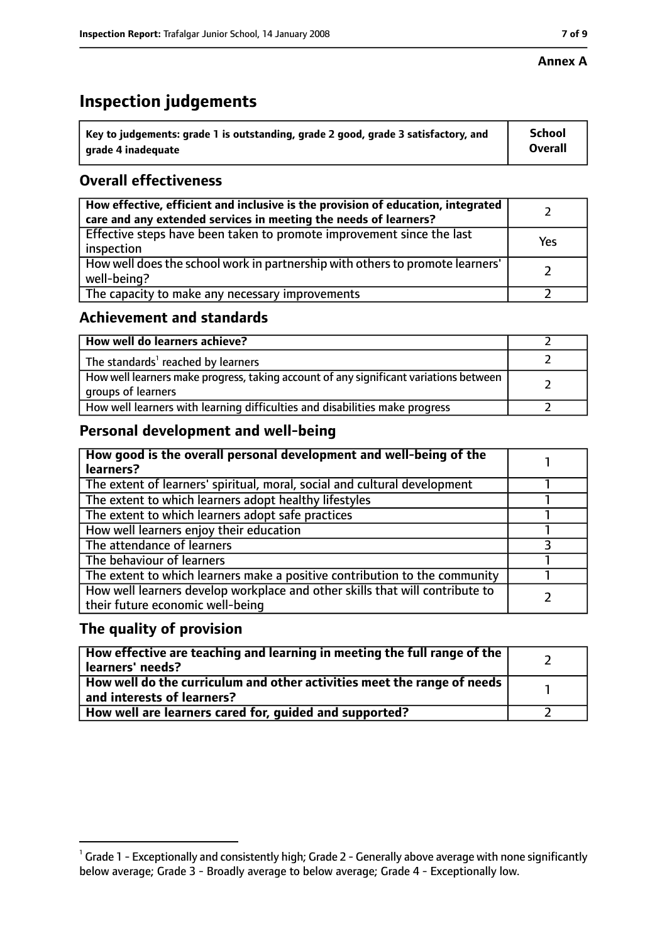#### **Annex A**

# **Inspection judgements**

| $^{\backprime}$ Key to judgements: grade 1 is outstanding, grade 2 good, grade 3 satisfactory, and | School         |
|----------------------------------------------------------------------------------------------------|----------------|
| arade 4 inadeguate                                                                                 | <b>Overall</b> |

## **Overall effectiveness**

| How effective, efficient and inclusive is the provision of education, integrated<br>care and any extended services in meeting the needs of learners? |     |
|------------------------------------------------------------------------------------------------------------------------------------------------------|-----|
| Effective steps have been taken to promote improvement since the last<br>inspection                                                                  | Yes |
| How well does the school work in partnership with others to promote learners'<br>well-being?                                                         |     |
| The capacity to make any necessary improvements                                                                                                      |     |

## **Achievement and standards**

| How well do learners achieve?                                                                               |  |
|-------------------------------------------------------------------------------------------------------------|--|
| The standards <sup>1</sup> reached by learners                                                              |  |
| How well learners make progress, taking account of any significant variations between<br>groups of learners |  |
| How well learners with learning difficulties and disabilities make progress                                 |  |

# **Personal development and well-being**

| How good is the overall personal development and well-being of the<br>learners?                                  |  |
|------------------------------------------------------------------------------------------------------------------|--|
| The extent of learners' spiritual, moral, social and cultural development                                        |  |
| The extent to which learners adopt healthy lifestyles                                                            |  |
| The extent to which learners adopt safe practices                                                                |  |
| How well learners enjoy their education                                                                          |  |
| The attendance of learners                                                                                       |  |
| The behaviour of learners                                                                                        |  |
| The extent to which learners make a positive contribution to the community                                       |  |
| How well learners develop workplace and other skills that will contribute to<br>their future economic well-being |  |

## **The quality of provision**

| How effective are teaching and learning in meeting the full range of the<br>learners' needs?                     |  |
|------------------------------------------------------------------------------------------------------------------|--|
| How well do the curriculum and other activities meet the range of needs<br>$^{\rm t}$ and interests of learners? |  |
| How well are learners cared for, guided and supported?                                                           |  |

 $^1$  Grade 1 - Exceptionally and consistently high; Grade 2 - Generally above average with none significantly below average; Grade 3 - Broadly average to below average; Grade 4 - Exceptionally low.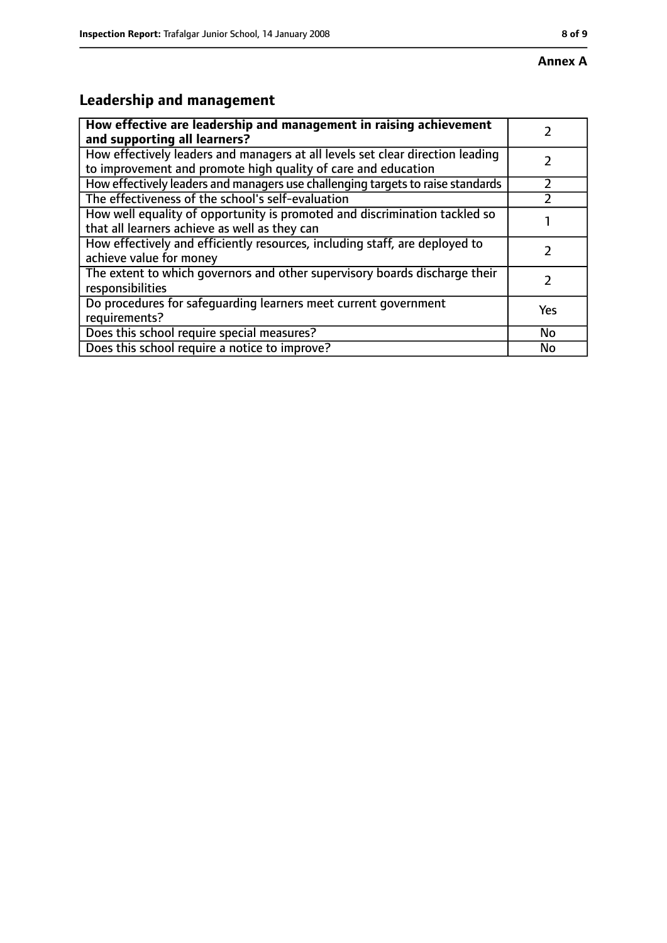# **Leadership and management**

| How effective are leadership and management in raising achievement<br>and supporting all learners?                                              |     |
|-------------------------------------------------------------------------------------------------------------------------------------------------|-----|
| How effectively leaders and managers at all levels set clear direction leading<br>to improvement and promote high quality of care and education |     |
| How effectively leaders and managers use challenging targets to raise standards                                                                 |     |
| The effectiveness of the school's self-evaluation                                                                                               |     |
| How well equality of opportunity is promoted and discrimination tackled so<br>that all learners achieve as well as they can                     |     |
| How effectively and efficiently resources, including staff, are deployed to<br>achieve value for money                                          |     |
| The extent to which governors and other supervisory boards discharge their<br>responsibilities                                                  |     |
| Do procedures for safequarding learners meet current government<br>requirements?                                                                | Yes |
| Does this school require special measures?                                                                                                      | No  |
| Does this school require a notice to improve?                                                                                                   | No  |